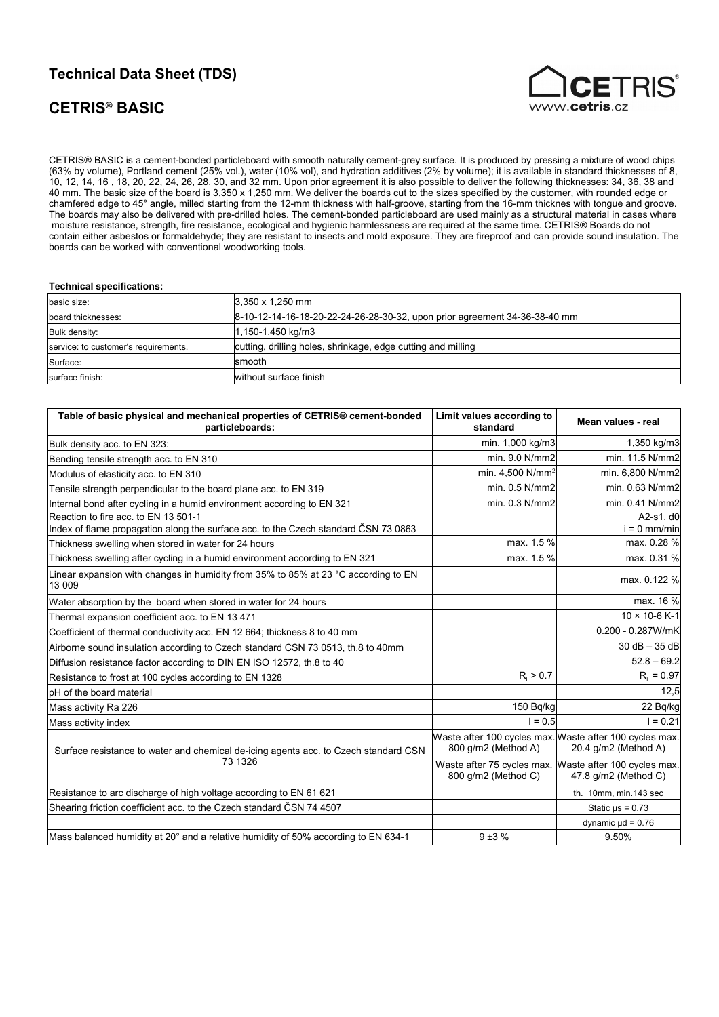# **Technical Data Sheet (TDS)**

# **CETRIS® BASIC**



CETRIS® BASIC is a cement-bonded particleboard with smooth naturally cement-grey surface. It is produced by pressing a mixture of wood chips (63% by volume), Portland cement (25% vol.), water (10% vol), and hydration additives (2% by volume); it is available in standard thicknesses of 8, 10, 12, 14, 16 , 18, 20, 22, 24, 26, 28, 30, and 32 mm. Upon prior agreement it is also possible to deliver the following thicknesses: 34, 36, 38 and 40 mm. The basic size of the board is 3,350 x 1,250 mm. We deliver the boards cut to the sizes specified by the customer, with rounded edge or chamfered edge to 45° angle, milled starting from the 12-mm thickness with half-groove, starting from the 16-mm thicknes with tongue and groove. The boards may also be delivered with pre-drilled holes. The cement-bonded particleboard are used mainly as a structural material in cases where moisture resistance, strength, fire resistance, ecological and hygienic harmlessness are required at the same time. CETRIS® Boards do not contain either asbestos or formaldehyde; they are resistant to insects and mold exposure. They are fireproof and can provide sound insulation. The boards can be worked with conventional woodworking tools.

#### **Technical specifications:**

| basic size:                          | $3.350 \times 1.250$ mm                                                    |
|--------------------------------------|----------------------------------------------------------------------------|
| board thicknesses:                   | 8-10-12-14-16-18-20-22-24-26-28-30-32, upon prior agreement 34-36-38-40 mm |
| Bulk density:                        | 1,150-1,450 kg/m3                                                          |
| service: to customer's requirements. | cutting, drilling holes, shrinkage, edge cutting and milling               |
| Surface:                             | Ismooth                                                                    |
| surface finish:                      | without surface finish                                                     |

| Table of basic physical and mechanical properties of CETRIS® cement-bonded<br>particleboards:          | Limit values according to<br>standard | Mean values - real                                                              |
|--------------------------------------------------------------------------------------------------------|---------------------------------------|---------------------------------------------------------------------------------|
| Bulk density acc. to EN 323:                                                                           | min. 1,000 kg/m3                      | 1,350 kg/m3                                                                     |
| Bending tensile strength acc. to EN 310                                                                | min. 9.0 N/mm2                        | min. 11.5 N/mm2                                                                 |
| Modulus of elasticity acc. to EN 310                                                                   | min. 4,500 N/mm <sup>2</sup>          | min. 6,800 N/mm2                                                                |
| Tensile strength perpendicular to the board plane acc. to EN 319                                       | min. 0.5 N/mm2                        | min. 0.63 N/mm2                                                                 |
| Internal bond after cycling in a humid environment according to EN 321                                 | min. 0.3 N/mm2                        | min. 0.41 N/mm2                                                                 |
| Reaction to fire acc. to EN 13 501-1                                                                   |                                       | A2-s1, $d0$                                                                     |
| Index of flame propagation along the surface acc. to the Czech standard CSN 73 0863                    |                                       | $i = 0$ mm/min                                                                  |
| Thickness swelling when stored in water for 24 hours                                                   | max. 1.5 %                            | max. 0.28 %                                                                     |
| Thickness swelling after cycling in a humid environment according to EN 321                            | max. 1.5 %                            | max. 0.31 %                                                                     |
| Linear expansion with changes in humidity from 35% to 85% at 23 $^{\circ}$ C according to EN<br>13 009 |                                       | max. 0.122 %                                                                    |
| Water absorption by the board when stored in water for 24 hours                                        |                                       | max. 16 %                                                                       |
| Thermal expansion coefficient acc. to EN 13 471                                                        |                                       | $10 \times 10 - 6$ K-1                                                          |
| Coefficient of thermal conductivity acc. EN 12 664; thickness 8 to 40 mm                               |                                       | 0.200 - 0.287W/mK                                                               |
| Airborne sound insulation according to Czech standard CSN 73 0513, th.8 to 40mm                        |                                       | $30 dB - 35 dB$                                                                 |
| Diffusion resistance factor according to DIN EN ISO 12572, th.8 to 40                                  |                                       | $52.8 - 69.2$                                                                   |
| Resistance to frost at 100 cycles according to EN 1328                                                 | $R_{1} > 0.7$                         | $R_i = 0.97$                                                                    |
| <b>pH</b> of the board material                                                                        |                                       | 12,5                                                                            |
| Mass activity Ra 226                                                                                   | 150 Bq/kg                             | 22 Bq/kg                                                                        |
| Mass activity index                                                                                    | $1 = 0.5$                             | $I = 0.21$                                                                      |
| Surface resistance to water and chemical de-icing agents acc. to Czech standard CSN                    | 800 g/m2 (Method A)                   | Waste after 100 cycles max. Waste after 100 cycles max.<br>20.4 g/m2 (Method A) |
| 73 1326                                                                                                | 800 g/m2 (Method C)                   | Waste after 75 cycles max. Waste after 100 cycles max.<br>47.8 g/m2 (Method C)  |
| Resistance to arc discharge of high voltage according to EN 61 621                                     |                                       | th. 10mm, min.143 sec                                                           |
| Shearing friction coefficient acc. to the Czech standard ČSN 74 4507                                   |                                       | Static $\mu s = 0.73$                                                           |
|                                                                                                        |                                       | dynamic $\mu$ d = 0.76                                                          |
| Mass balanced humidity at 20° and a relative humidity of 50% according to EN 634-1                     | $9 + 3%$                              | 9.50%                                                                           |